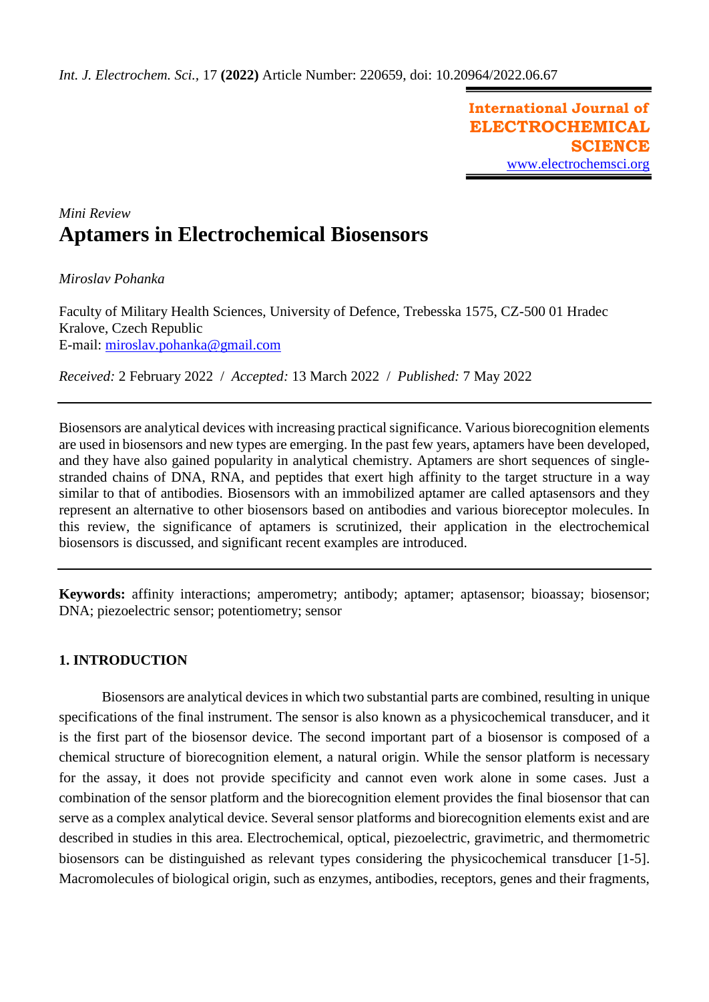**International Journal of ELECTROCHEMICAL SCIENCE** [www.electrochemsci.org](http://www.electrochemsci.org/)

# *Mini Review* **Aptamers in Electrochemical Biosensors**

*Miroslav Pohanka*

Faculty of Military Health Sciences, University of Defence, Trebesska 1575, CZ-500 01 Hradec Kralove, Czech Republic E-mail: [miroslav.pohanka@gmail.com](mailto:miroslav.pohanka@gmail.com)

*Received:* 2 February 2022/ *Accepted:* 13 March 2022 / *Published:* 7 May 2022

Biosensors are analytical devices with increasing practical significance. Various biorecognition elements are used in biosensors and new types are emerging. In the past few years, aptamers have been developed, and they have also gained popularity in analytical chemistry. Aptamers are short sequences of singlestranded chains of DNA, RNA, and peptides that exert high affinity to the target structure in a way similar to that of antibodies. Biosensors with an immobilized aptamer are called aptasensors and they represent an alternative to other biosensors based on antibodies and various bioreceptor molecules. In this review, the significance of aptamers is scrutinized, their application in the electrochemical biosensors is discussed, and significant recent examples are introduced.

**Keywords:** affinity interactions; amperometry; antibody; aptamer; aptasensor; bioassay; biosensor; DNA; piezoelectric sensor; potentiometry; sensor

## **1. INTRODUCTION**

Biosensors are analytical devices in which two substantial parts are combined, resulting in unique specifications of the final instrument. The sensor is also known as a physicochemical transducer, and it is the first part of the biosensor device. The second important part of a biosensor is composed of a chemical structure of biorecognition element, a natural origin. While the sensor platform is necessary for the assay, it does not provide specificity and cannot even work alone in some cases. Just a combination of the sensor platform and the biorecognition element provides the final biosensor that can serve as a complex analytical device. Several sensor platforms and biorecognition elements exist and are described in studies in this area. Electrochemical, optical, piezoelectric, gravimetric, and thermometric biosensors can be distinguished as relevant types considering the physicochemical transducer [1-5]. Macromolecules of biological origin, such as enzymes, antibodies, receptors, genes and their fragments,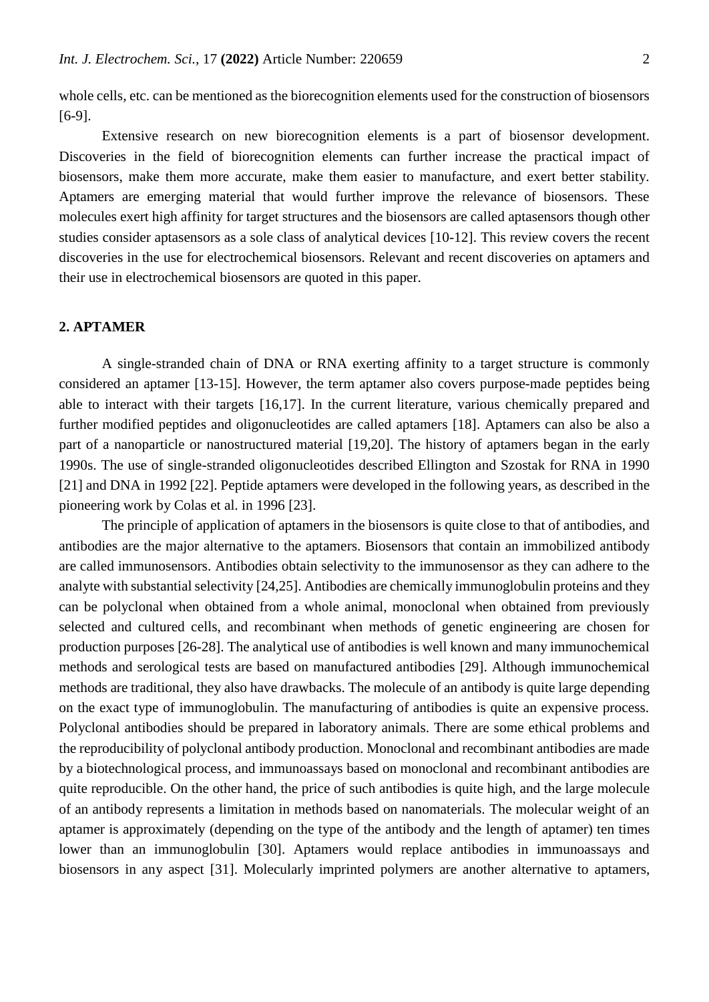whole cells, etc. can be mentioned as the biorecognition elements used for the construction of biosensors [6-9].

Extensive research on new biorecognition elements is a part of biosensor development. Discoveries in the field of biorecognition elements can further increase the practical impact of biosensors, make them more accurate, make them easier to manufacture, and exert better stability. Aptamers are emerging material that would further improve the relevance of biosensors. These molecules exert high affinity for target structures and the biosensors are called aptasensors though other studies consider aptasensors as a sole class of analytical devices [10-12]. This review covers the recent discoveries in the use for electrochemical biosensors. Relevant and recent discoveries on aptamers and their use in electrochemical biosensors are quoted in this paper.

### **2. APTAMER**

A single-stranded chain of DNA or RNA exerting affinity to a target structure is commonly considered an aptamer [13-15]. However, the term aptamer also covers purpose-made peptides being able to interact with their targets [16,17]. In the current literature, various chemically prepared and further modified peptides and oligonucleotides are called aptamers [18]. Aptamers can also be also a part of a nanoparticle or nanostructured material [19,20]. The history of aptamers began in the early 1990s. The use of single-stranded oligonucleotides described Ellington and Szostak for RNA in 1990 [21] and DNA in 1992 [22]. Peptide aptamers were developed in the following years, as described in the pioneering work by Colas et al. in 1996 [23].

The principle of application of aptamers in the biosensors is quite close to that of antibodies, and antibodies are the major alternative to the aptamers. Biosensors that contain an immobilized antibody are called immunosensors. Antibodies obtain selectivity to the immunosensor as they can adhere to the analyte with substantial selectivity [24,25]. Antibodies are chemically immunoglobulin proteins and they can be polyclonal when obtained from a whole animal, monoclonal when obtained from previously selected and cultured cells, and recombinant when methods of genetic engineering are chosen for production purposes [26-28]. The analytical use of antibodies is well known and many immunochemical methods and serological tests are based on manufactured antibodies [29]. Although immunochemical methods are traditional, they also have drawbacks. The molecule of an antibody is quite large depending on the exact type of immunoglobulin. The manufacturing of antibodies is quite an expensive process. Polyclonal antibodies should be prepared in laboratory animals. There are some ethical problems and the reproducibility of polyclonal antibody production. Monoclonal and recombinant antibodies are made by a biotechnological process, and immunoassays based on monoclonal and recombinant antibodies are quite reproducible. On the other hand, the price of such antibodies is quite high, and the large molecule of an antibody represents a limitation in methods based on nanomaterials. The molecular weight of an aptamer is approximately (depending on the type of the antibody and the length of aptamer) ten times lower than an immunoglobulin [30]. Aptamers would replace antibodies in immunoassays and biosensors in any aspect [31]. Molecularly imprinted polymers are another alternative to aptamers,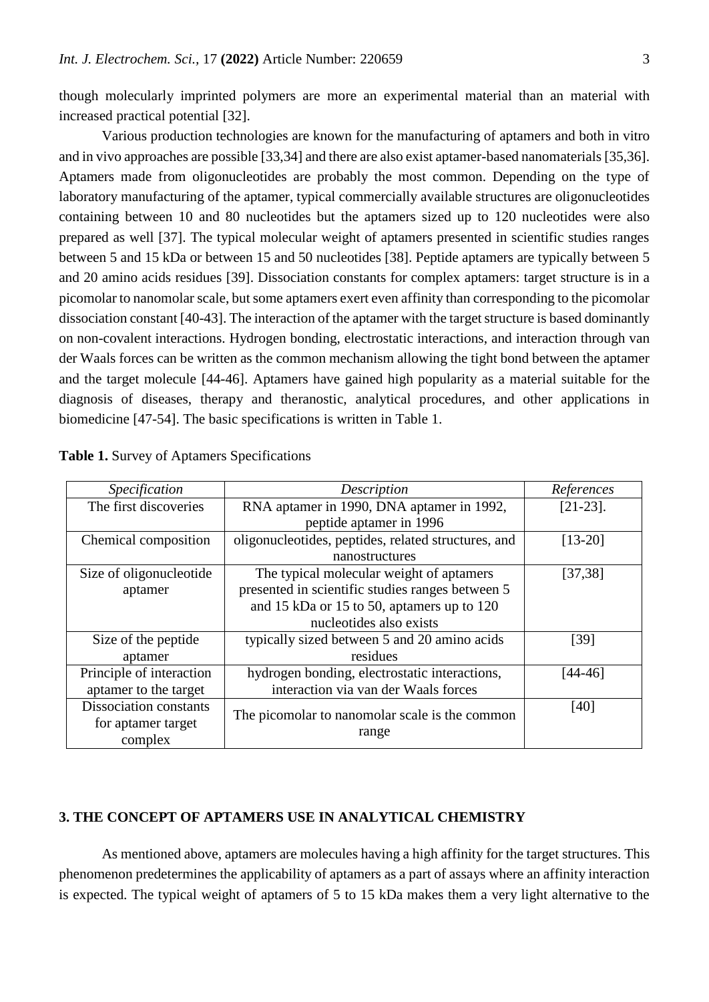though molecularly imprinted polymers are more an experimental material than an material with increased practical potential [32].

Various production technologies are known for the manufacturing of aptamers and both in vitro and in vivo approaches are possible [33,34] and there are also exist aptamer-based nanomaterials [35,36]. Aptamers made from oligonucleotides are probably the most common. Depending on the type of laboratory manufacturing of the aptamer, typical commercially available structures are oligonucleotides containing between 10 and 80 nucleotides but the aptamers sized up to 120 nucleotides were also prepared as well [37]. The typical molecular weight of aptamers presented in scientific studies ranges between 5 and 15 kDa or between 15 and 50 nucleotides [38]. Peptide aptamers are typically between 5 and 20 amino acids residues [39]. Dissociation constants for complex aptamers: target structure is in a picomolar to nanomolar scale, but some aptamers exert even affinity than corresponding to the picomolar dissociation constant [40-43]. The interaction of the aptamer with the target structure is based dominantly on non-covalent interactions. Hydrogen bonding, electrostatic interactions, and interaction through van der Waals forces can be written as the common mechanism allowing the tight bond between the aptamer and the target molecule [44-46]. Aptamers have gained high popularity as a material suitable for the diagnosis of diseases, therapy and theranostic, analytical procedures, and other applications in biomedicine [47-54]. The basic specifications is written in Table 1.

| <i>Specification</i>          | Description                                         | References  |
|-------------------------------|-----------------------------------------------------|-------------|
| The first discoveries         | RNA aptamer in 1990, DNA aptamer in 1992,           | $[21-23]$ . |
|                               | peptide aptamer in 1996                             |             |
| Chemical composition          | oligonucleotides, peptides, related structures, and | $[13-20]$   |
|                               | nanostructures                                      |             |
| Size of oligonucleotide       | The typical molecular weight of aptamers            | [37, 38]    |
| aptamer                       | presented in scientific studies ranges between 5    |             |
|                               | and 15 kDa or 15 to 50, aptamers up to 120          |             |
|                               | nucleotides also exists                             |             |
| Size of the peptide           | typically sized between 5 and 20 amino acids        | [39]        |
| aptamer                       | residues                                            |             |
| Principle of interaction      | hydrogen bonding, electrostatic interactions,       | [44-46]     |
| aptamer to the target         | interaction via van der Waals forces                |             |
| <b>Dissociation constants</b> | The picomolar to nanomolar scale is the common      | [40]        |
| for aptamer target            |                                                     |             |
| complex                       | range                                               |             |

|  |  |  |  | Table 1. Survey of Aptamers Specifications |
|--|--|--|--|--------------------------------------------|
|--|--|--|--|--------------------------------------------|

## **3. THE CONCEPT OF APTAMERS USE IN ANALYTICAL CHEMISTRY**

As mentioned above, aptamers are molecules having a high affinity for the target structures. This phenomenon predetermines the applicability of aptamers as a part of assays where an affinity interaction is expected. The typical weight of aptamers of 5 to 15 kDa makes them a very light alternative to the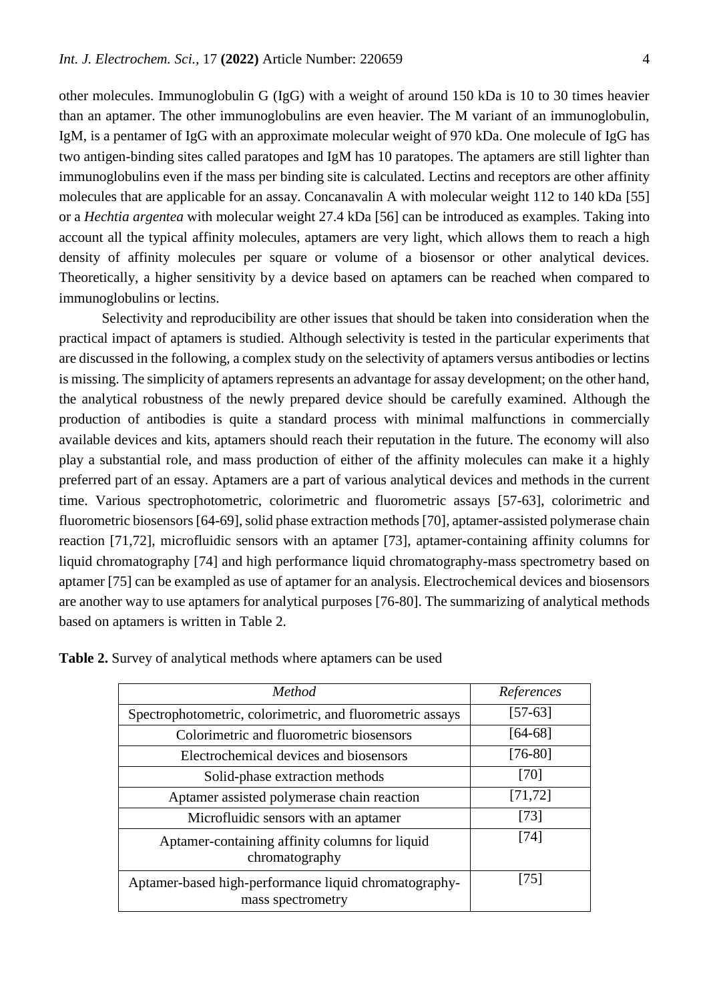other molecules. Immunoglobulin G (IgG) with a weight of around 150 kDa is 10 to 30 times heavier than an aptamer. The other immunoglobulins are even heavier. The M variant of an immunoglobulin, IgM, is a pentamer of IgG with an approximate molecular weight of 970 kDa. One molecule of IgG has two antigen-binding sites called paratopes and IgM has 10 paratopes. The aptamers are still lighter than immunoglobulins even if the mass per binding site is calculated. Lectins and receptors are other affinity molecules that are applicable for an assay. Concanavalin A with molecular weight 112 to 140 kDa [55] or a *Hechtia argentea* with molecular weight 27.4 kDa [56] can be introduced as examples. Taking into account all the typical affinity molecules, aptamers are very light, which allows them to reach a high density of affinity molecules per square or volume of a biosensor or other analytical devices. Theoretically, a higher sensitivity by a device based on aptamers can be reached when compared to immunoglobulins or lectins.

Selectivity and reproducibility are other issues that should be taken into consideration when the practical impact of aptamers is studied. Although selectivity is tested in the particular experiments that are discussed in the following, a complex study on the selectivity of aptamers versus antibodies or lectins is missing. The simplicity of aptamers represents an advantage for assay development; on the other hand, the analytical robustness of the newly prepared device should be carefully examined. Although the production of antibodies is quite a standard process with minimal malfunctions in commercially available devices and kits, aptamers should reach their reputation in the future. The economy will also play a substantial role, and mass production of either of the affinity molecules can make it a highly preferred part of an essay. Aptamers are a part of various analytical devices and methods in the current time. Various spectrophotometric, colorimetric and fluorometric assays [57-63], colorimetric and fluorometric biosensors [64-69], solid phase extraction methods [70], aptamer-assisted polymerase chain reaction [71,72], microfluidic sensors with an aptamer [73], aptamer-containing affinity columns for liquid chromatography [74] and high performance liquid chromatography-mass spectrometry based on aptamer [75] can be exampled as use of aptamer for an analysis. Electrochemical devices and biosensors are another way to use aptamers for analytical purposes [76-80]. The summarizing of analytical methods based on aptamers is written in Table 2.

| Method                                                                     | References |
|----------------------------------------------------------------------------|------------|
| Spectrophotometric, colorimetric, and fluorometric assays                  | $[57-63]$  |
| Colorimetric and fluorometric biosensors                                   | $[64-68]$  |
| Electrochemical devices and biosensors                                     | $[76-80]$  |
| Solid-phase extraction methods                                             | [70]       |
| Aptamer assisted polymerase chain reaction                                 | [71, 72]   |
| Microfluidic sensors with an aptamer                                       | $[73]$     |
| Aptamer-containing affinity columns for liquid<br>chromatography           | [74]       |
| Aptamer-based high-performance liquid chromatography-<br>mass spectrometry | 1751       |

| Table 2. Survey of analytical methods where aptamers can be used |  |
|------------------------------------------------------------------|--|
|------------------------------------------------------------------|--|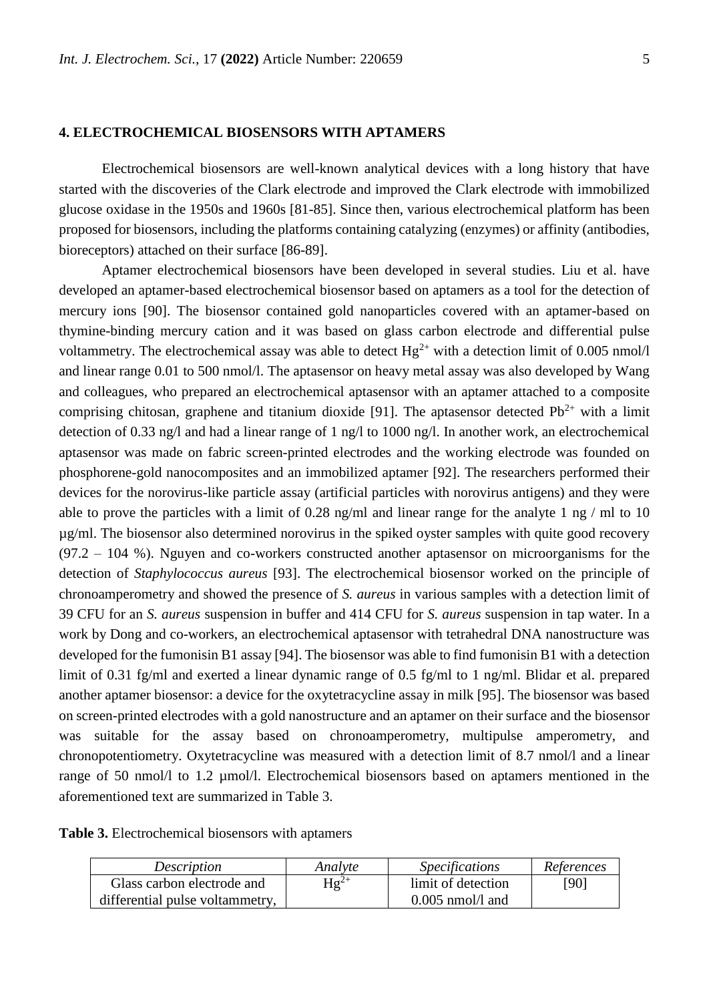#### **4. ELECTROCHEMICAL BIOSENSORS WITH APTAMERS**

Electrochemical biosensors are well-known analytical devices with a long history that have started with the discoveries of the Clark electrode and improved the Clark electrode with immobilized glucose oxidase in the 1950s and 1960s [81-85]. Since then, various electrochemical platform has been proposed for biosensors, including the platforms containing catalyzing (enzymes) or affinity (antibodies, bioreceptors) attached on their surface [86-89].

Aptamer electrochemical biosensors have been developed in several studies. Liu et al. have developed an aptamer-based electrochemical biosensor based on aptamers as a tool for the detection of mercury ions [90]. The biosensor contained gold nanoparticles covered with an aptamer-based on thymine-binding mercury cation and it was based on glass carbon electrode and differential pulse voltammetry. The electrochemical assay was able to detect  $Hg^{2+}$  with a detection limit of 0.005 nmol/l and linear range 0.01 to 500 nmol/l. The aptasensor on heavy metal assay was also developed by Wang and colleagues, who prepared an electrochemical aptasensor with an aptamer attached to a composite comprising chitosan, graphene and titanium dioxide [91]. The aptasensor detected  $Pb^{2+}$  with a limit detection of 0.33 ng/l and had a linear range of 1 ng/l to 1000 ng/l. In another work, an electrochemical aptasensor was made on fabric screen-printed electrodes and the working electrode was founded on phosphorene-gold nanocomposites and an immobilized aptamer [92]. The researchers performed their devices for the norovirus-like particle assay (artificial particles with norovirus antigens) and they were able to prove the particles with a limit of 0.28 ng/ml and linear range for the analyte 1 ng / ml to 10 µg/ml. The biosensor also determined norovirus in the spiked oyster samples with quite good recovery  $(97.2 - 104 \%)$ . Nguyen and co-workers constructed another aptasensor on microorganisms for the detection of *Staphylococcus aureus* [93]. The electrochemical biosensor worked on the principle of chronoamperometry and showed the presence of *S. aureus* in various samples with a detection limit of 39 CFU for an *S. aureus* suspension in buffer and 414 CFU for *S. aureus* suspension in tap water. In a work by Dong and co-workers, an electrochemical aptasensor with tetrahedral DNA nanostructure was developed for the fumonisin B1 assay [94]. The biosensor was able to find fumonisin B1 with a detection limit of 0.31 fg/ml and exerted a linear dynamic range of 0.5 fg/ml to 1 ng/ml. Blidar et al. prepared another aptamer biosensor: a device for the oxytetracycline assay in milk [95]. The biosensor was based on screen-printed electrodes with a gold nanostructure and an aptamer on their surface and the biosensor was suitable for the assay based on chronoamperometry, multipulse amperometry, and chronopotentiometry. Oxytetracycline was measured with a detection limit of 8.7 nmol/l and a linear range of 50 nmol/l to 1.2 µmol/l. Electrochemical biosensors based on aptamers mentioned in the aforementioned text are summarized in Table 3.

**Table 3.** Electrochemical biosensors with aptamers

| <i>Description</i>              | Analyte   | <i>Specifications</i> | References |
|---------------------------------|-----------|-----------------------|------------|
| Glass carbon electrode and      | $Hg^{2+}$ | limit of detection    | [90]       |
| differential pulse voltammetry, |           | $0.005$ nmol/l and    |            |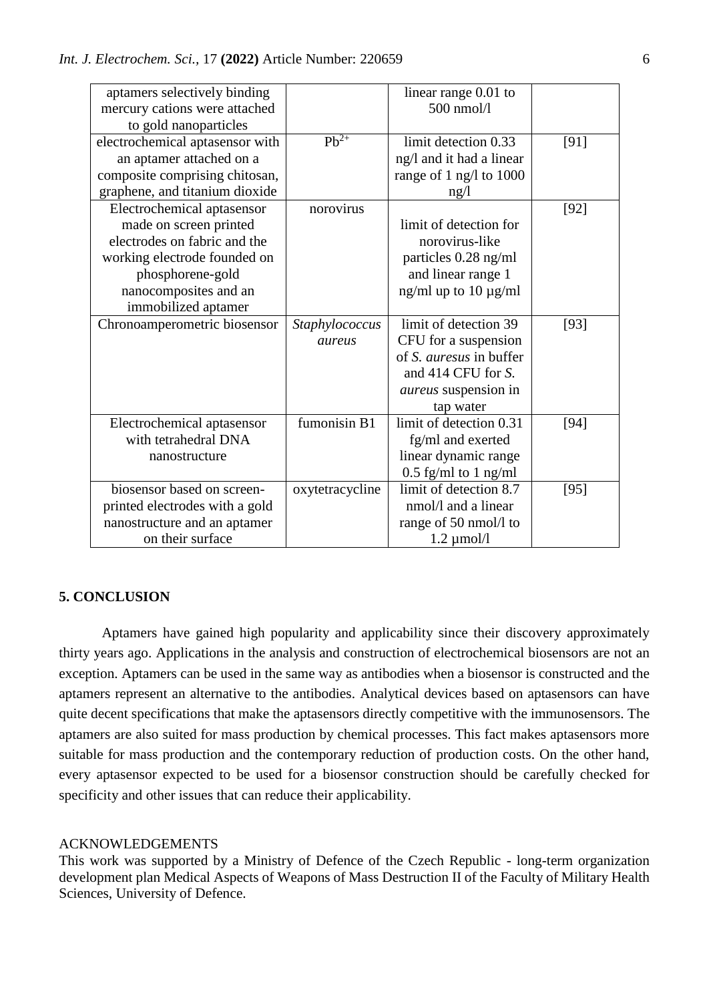| aptamers selectively binding    |                 | linear range $0.01$ to      |        |
|---------------------------------|-----------------|-----------------------------|--------|
| mercury cations were attached   |                 | 500 nmol/l                  |        |
| to gold nanoparticles           |                 |                             |        |
| electrochemical aptasensor with | $Pb^{2+}$       | limit detection 0.33        | [91]   |
| an aptamer attached on a        |                 | ng/l and it had a linear    |        |
| composite comprising chitosan,  |                 | range of 1 ng/l to 1000     |        |
| graphene, and titanium dioxide  |                 | ng/l                        |        |
| Electrochemical aptasensor      | norovirus       |                             | $[92]$ |
| made on screen printed          |                 | limit of detection for      |        |
| electrodes on fabric and the    |                 | norovirus-like              |        |
| working electrode founded on    |                 | particles 0.28 ng/ml        |        |
| phosphorene-gold                |                 | and linear range 1          |        |
| nanocomposites and an           |                 | ng/ml up to 10 $\mu$ g/ml   |        |
| immobilized aptamer             |                 |                             |        |
| Chronoamperometric biosensor    | Staphylococcus  | limit of detection 39       | $[93]$ |
|                                 | aureus          | CFU for a suspension        |        |
|                                 |                 | of S. auresus in buffer     |        |
|                                 |                 | and 414 CFU for S.          |        |
|                                 |                 | <i>aureus</i> suspension in |        |
|                                 |                 | tap water                   |        |
| Electrochemical aptasensor      | fumonisin B1    | limit of detection 0.31     | $[94]$ |
| with tetrahedral DNA            |                 | fg/ml and exerted           |        |
| nanostructure                   |                 | linear dynamic range        |        |
|                                 |                 | $0.5$ fg/ml to 1 ng/ml      |        |
| biosensor based on screen-      | oxytetracycline | limit of detection 8.7      | [95]   |
| printed electrodes with a gold  |                 | nmol/l and a linear         |        |
| nanostructure and an aptamer    |                 | range of 50 nmol/l to       |        |
| on their surface                |                 | $1.2 \mu$ mol/l             |        |

## **5. CONCLUSION**

Aptamers have gained high popularity and applicability since their discovery approximately thirty years ago. Applications in the analysis and construction of electrochemical biosensors are not an exception. Aptamers can be used in the same way as antibodies when a biosensor is constructed and the aptamers represent an alternative to the antibodies. Analytical devices based on aptasensors can have quite decent specifications that make the aptasensors directly competitive with the immunosensors. The aptamers are also suited for mass production by chemical processes. This fact makes aptasensors more suitable for mass production and the contemporary reduction of production costs. On the other hand, every aptasensor expected to be used for a biosensor construction should be carefully checked for specificity and other issues that can reduce their applicability.

## ACKNOWLEDGEMENTS

This work was supported by a Ministry of Defence of the Czech Republic - long-term organization development plan Medical Aspects of Weapons of Mass Destruction II of the Faculty of Military Health Sciences, University of Defence.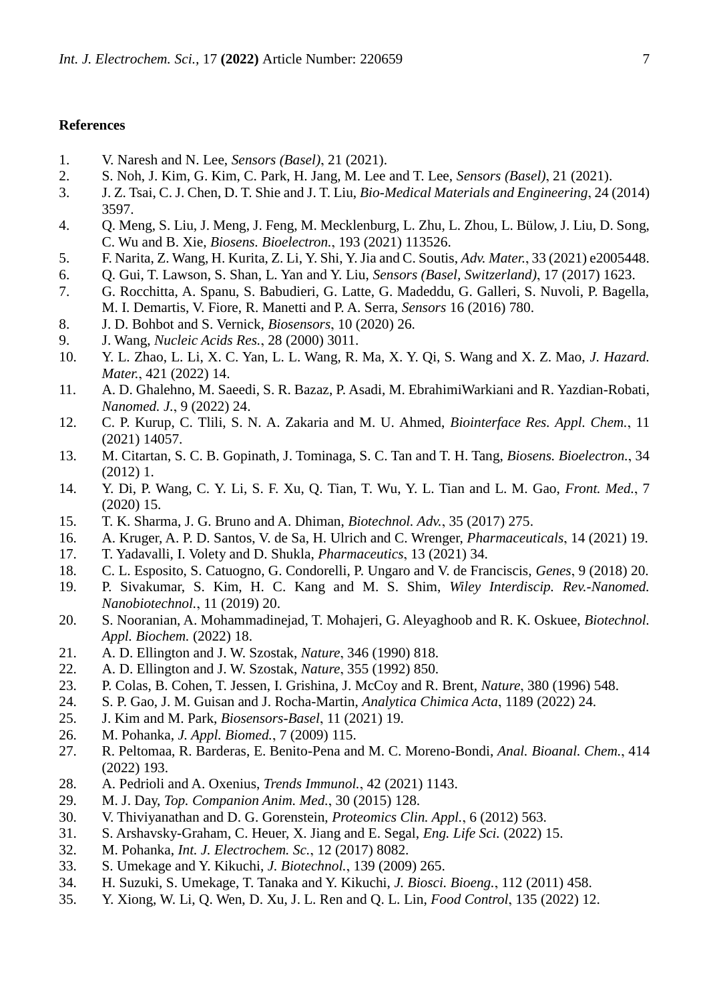#### **References**

- 1. V. Naresh and N. Lee, *Sensors (Basel)*, 21 (2021).
- 2. S. Noh, J. Kim, G. Kim, C. Park, H. Jang, M. Lee and T. Lee, *Sensors (Basel)*, 21 (2021).
- 3. J. Z. Tsai, C. J. Chen, D. T. Shie and J. T. Liu, *Bio-Medical Materials and Engineering*, 24 (2014) 3597.
- 4. Q. Meng, S. Liu, J. Meng, J. Feng, M. Mecklenburg, L. Zhu, L. Zhou, L. Bülow, J. Liu, D. Song, C. Wu and B. Xie, *Biosens. Bioelectron.*, 193 (2021) 113526.
- 5. F. Narita, Z. Wang, H. Kurita, Z. Li, Y. Shi, Y. Jia and C. Soutis, *Adv. Mater.*, 33 (2021) e2005448.
- 6. Q. Gui, T. Lawson, S. Shan, L. Yan and Y. Liu, *Sensors (Basel, Switzerland)*, 17 (2017) 1623.
- 7. G. Rocchitta, A. Spanu, S. Babudieri, G. Latte, G. Madeddu, G. Galleri, S. Nuvoli, P. Bagella, M. I. Demartis, V. Fiore, R. Manetti and P. A. Serra, *Sensors* 16 (2016) 780.
- 8. J. D. Bohbot and S. Vernick, *Biosensors*, 10 (2020) 26.
- 9. J. Wang, *Nucleic Acids Res.*, 28 (2000) 3011.
- 10. Y. L. Zhao, L. Li, X. C. Yan, L. L. Wang, R. Ma, X. Y. Qi, S. Wang and X. Z. Mao, *J. Hazard. Mater.*, 421 (2022) 14.
- 11. A. D. Ghalehno, M. Saeedi, S. R. Bazaz, P. Asadi, M. EbrahimiWarkiani and R. Yazdian-Robati, *Nanomed. J.*, 9 (2022) 24.
- 12. C. P. Kurup, C. Tlili, S. N. A. Zakaria and M. U. Ahmed, *Biointerface Res. Appl. Chem.*, 11 (2021) 14057.
- 13. M. Citartan, S. C. B. Gopinath, J. Tominaga, S. C. Tan and T. H. Tang, *Biosens. Bioelectron.*, 34 (2012) 1.
- 14. Y. Di, P. Wang, C. Y. Li, S. F. Xu, Q. Tian, T. Wu, Y. L. Tian and L. M. Gao, *Front. Med.*, 7 (2020) 15.
- 15. T. K. Sharma, J. G. Bruno and A. Dhiman, *Biotechnol. Adv.*, 35 (2017) 275.
- 16. A. Kruger, A. P. D. Santos, V. de Sa, H. Ulrich and C. Wrenger, *Pharmaceuticals*, 14 (2021) 19.
- 17. T. Yadavalli, I. Volety and D. Shukla, *Pharmaceutics*, 13 (2021) 34.
- 18. C. L. Esposito, S. Catuogno, G. Condorelli, P. Ungaro and V. de Franciscis, *Genes*, 9 (2018) 20.
- 19. P. Sivakumar, S. Kim, H. C. Kang and M. S. Shim, *Wiley Interdiscip. Rev.-Nanomed. Nanobiotechnol.*, 11 (2019) 20.
- 20. S. Nooranian, A. Mohammadinejad, T. Mohajeri, G. Aleyaghoob and R. K. Oskuee, *Biotechnol. Appl. Biochem.* (2022) 18.
- 21. A. D. Ellington and J. W. Szostak, *Nature*, 346 (1990) 818.
- 22. A. D. Ellington and J. W. Szostak, *Nature*, 355 (1992) 850.
- 23. P. Colas, B. Cohen, T. Jessen, I. Grishina, J. McCoy and R. Brent, *Nature*, 380 (1996) 548.
- 24. S. P. Gao, J. M. Guisan and J. Rocha-Martin, *Analytica Chimica Acta*, 1189 (2022) 24.
- 25. J. Kim and M. Park, *Biosensors-Basel*, 11 (2021) 19.
- 26. M. Pohanka, *J. Appl. Biomed.*, 7 (2009) 115.
- 27. R. Peltomaa, R. Barderas, E. Benito-Pena and M. C. Moreno-Bondi, *Anal. Bioanal. Chem.*, 414 (2022) 193.
- 28. A. Pedrioli and A. Oxenius, *Trends Immunol.*, 42 (2021) 1143.
- 29. M. J. Day, *Top. Companion Anim. Med.*, 30 (2015) 128.
- 30. V. Thiviyanathan and D. G. Gorenstein, *Proteomics Clin. Appl.*, 6 (2012) 563.
- 31. S. Arshavsky-Graham, C. Heuer, X. Jiang and E. Segal, *Eng. Life Sci.* (2022) 15.
- 32. M. Pohanka, *Int. J. Electrochem. Sc.*, 12 (2017) 8082.
- 33. S. Umekage and Y. Kikuchi, *J. Biotechnol.*, 139 (2009) 265.
- 34. H. Suzuki, S. Umekage, T. Tanaka and Y. Kikuchi, *J. Biosci. Bioeng.*, 112 (2011) 458.
- 35. Y. Xiong, W. Li, Q. Wen, D. Xu, J. L. Ren and Q. L. Lin, *Food Control*, 135 (2022) 12.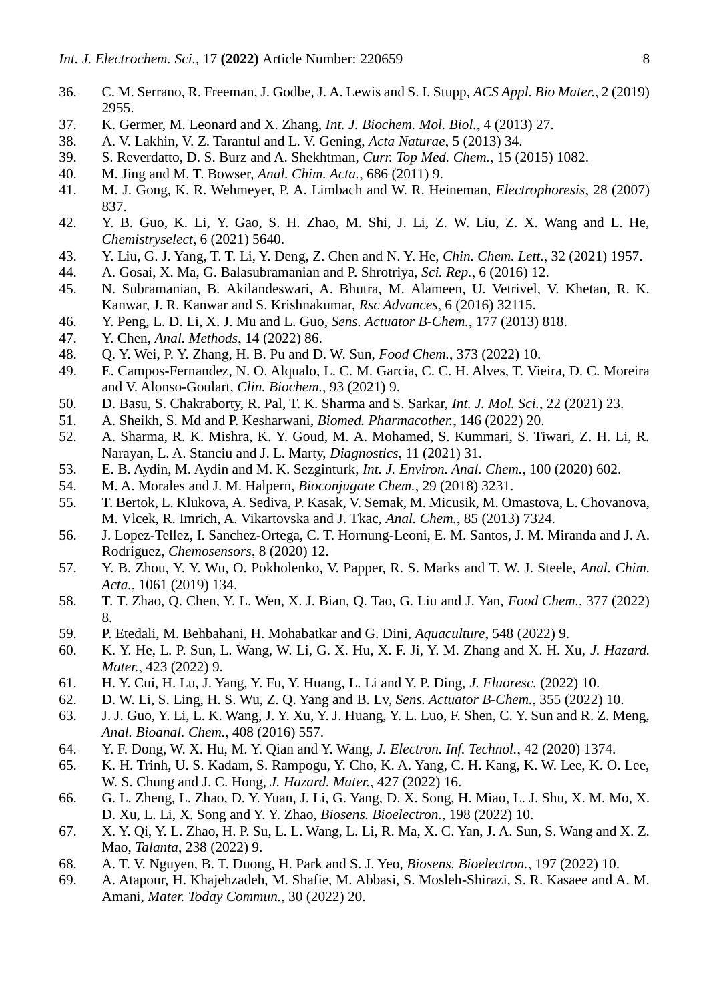- 36. C. M. Serrano, R. Freeman, J. Godbe, J. A. Lewis and S. I. Stupp, *ACS Appl. Bio Mater.*, 2 (2019) 2955.
- 37. K. Germer, M. Leonard and X. Zhang, *Int. J. Biochem. Mol. Biol.*, 4 (2013) 27.
- 38. A. V. Lakhin, V. Z. Tarantul and L. V. Gening, *Acta Naturae*, 5 (2013) 34.
- 39. S. Reverdatto, D. S. Burz and A. Shekhtman, *Curr. Top Med. Chem.*, 15 (2015) 1082.
- 40. M. Jing and M. T. Bowser, *Anal. Chim. Acta.*, 686 (2011) 9.
- 41. M. J. Gong, K. R. Wehmeyer, P. A. Limbach and W. R. Heineman, *Electrophoresis*, 28 (2007) 837.
- 42. Y. B. Guo, K. Li, Y. Gao, S. H. Zhao, M. Shi, J. Li, Z. W. Liu, Z. X. Wang and L. He, *Chemistryselect*, 6 (2021) 5640.
- 43. Y. Liu, G. J. Yang, T. T. Li, Y. Deng, Z. Chen and N. Y. He, *Chin. Chem. Lett.*, 32 (2021) 1957.
- 44. A. Gosai, X. Ma, G. Balasubramanian and P. Shrotriya, *Sci. Rep.*, 6 (2016) 12.
- 45. N. Subramanian, B. Akilandeswari, A. Bhutra, M. Alameen, U. Vetrivel, V. Khetan, R. K. Kanwar, J. R. Kanwar and S. Krishnakumar, *Rsc Advances*, 6 (2016) 32115.
- 46. Y. Peng, L. D. Li, X. J. Mu and L. Guo, *Sens. Actuator B-Chem.*, 177 (2013) 818.
- 47. Y. Chen, *Anal. Methods*, 14 (2022) 86.
- 48. Q. Y. Wei, P. Y. Zhang, H. B. Pu and D. W. Sun, *Food Chem.*, 373 (2022) 10.
- 49. E. Campos-Fernandez, N. O. Alqualo, L. C. M. Garcia, C. C. H. Alves, T. Vieira, D. C. Moreira and V. Alonso-Goulart, *Clin. Biochem.*, 93 (2021) 9.
- 50. D. Basu, S. Chakraborty, R. Pal, T. K. Sharma and S. Sarkar, *Int. J. Mol. Sci.*, 22 (2021) 23.
- 51. A. Sheikh, S. Md and P. Kesharwani, *Biomed. Pharmacother.*, 146 (2022) 20.
- 52. A. Sharma, R. K. Mishra, K. Y. Goud, M. A. Mohamed, S. Kummari, S. Tiwari, Z. H. Li, R. Narayan, L. A. Stanciu and J. L. Marty, *Diagnostics*, 11 (2021) 31.
- 53. E. B. Aydin, M. Aydin and M. K. Sezginturk, *Int. J. Environ. Anal. Chem.*, 100 (2020) 602.
- 54. M. A. Morales and J. M. Halpern, *Bioconjugate Chem.*, 29 (2018) 3231.
- 55. T. Bertok, L. Klukova, A. Sediva, P. Kasak, V. Semak, M. Micusik, M. Omastova, L. Chovanova, M. Vlcek, R. Imrich, A. Vikartovska and J. Tkac, *Anal. Chem.*, 85 (2013) 7324.
- 56. J. Lopez-Tellez, I. Sanchez-Ortega, C. T. Hornung-Leoni, E. M. Santos, J. M. Miranda and J. A. Rodriguez, *Chemosensors*, 8 (2020) 12.
- 57. Y. B. Zhou, Y. Y. Wu, O. Pokholenko, V. Papper, R. S. Marks and T. W. J. Steele, *Anal. Chim. Acta.*, 1061 (2019) 134.
- 58. T. T. Zhao, Q. Chen, Y. L. Wen, X. J. Bian, Q. Tao, G. Liu and J. Yan, *Food Chem.*, 377 (2022) 8.
- 59. P. Etedali, M. Behbahani, H. Mohabatkar and G. Dini, *Aquaculture*, 548 (2022) 9.
- 60. K. Y. He, L. P. Sun, L. Wang, W. Li, G. X. Hu, X. F. Ji, Y. M. Zhang and X. H. Xu, *J. Hazard. Mater.*, 423 (2022) 9.
- 61. H. Y. Cui, H. Lu, J. Yang, Y. Fu, Y. Huang, L. Li and Y. P. Ding, *J. Fluoresc.* (2022) 10.
- 62. D. W. Li, S. Ling, H. S. Wu, Z. Q. Yang and B. Lv, *Sens. Actuator B-Chem.*, 355 (2022) 10.
- 63. J. J. Guo, Y. Li, L. K. Wang, J. Y. Xu, Y. J. Huang, Y. L. Luo, F. Shen, C. Y. Sun and R. Z. Meng, *Anal. Bioanal. Chem.*, 408 (2016) 557.
- 64. Y. F. Dong, W. X. Hu, M. Y. Qian and Y. Wang, *J. Electron. Inf. Technol.*, 42 (2020) 1374.
- 65. K. H. Trinh, U. S. Kadam, S. Rampogu, Y. Cho, K. A. Yang, C. H. Kang, K. W. Lee, K. O. Lee, W. S. Chung and J. C. Hong, *J. Hazard. Mater.*, 427 (2022) 16.
- 66. G. L. Zheng, L. Zhao, D. Y. Yuan, J. Li, G. Yang, D. X. Song, H. Miao, L. J. Shu, X. M. Mo, X. D. Xu, L. Li, X. Song and Y. Y. Zhao, *Biosens. Bioelectron.*, 198 (2022) 10.
- 67. X. Y. Qi, Y. L. Zhao, H. P. Su, L. L. Wang, L. Li, R. Ma, X. C. Yan, J. A. Sun, S. Wang and X. Z. Mao, *Talanta*, 238 (2022) 9.
- 68. A. T. V. Nguyen, B. T. Duong, H. Park and S. J. Yeo, *Biosens. Bioelectron.*, 197 (2022) 10.
- 69. A. Atapour, H. Khajehzadeh, M. Shafie, M. Abbasi, S. Mosleh-Shirazi, S. R. Kasaee and A. M. Amani, *Mater. Today Commun.*, 30 (2022) 20.